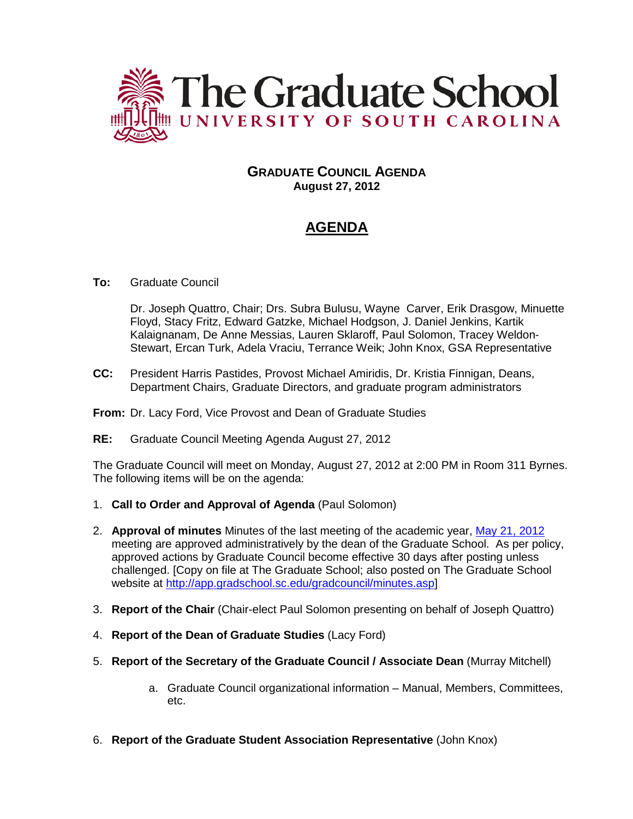

# **GRADUATE COUNCIL AGENDA August 27, 2012**

# **AGENDA**

## **To:** Graduate Council

Dr. Joseph Quattro, Chair; Drs. Subra Bulusu, Wayne Carver, Erik Drasgow, Minuette Floyd, Stacy Fritz, Edward Gatzke, Michael Hodgson, J. Daniel Jenkins, Kartik Kalaignanam, De Anne Messias, Lauren Sklaroff, Paul Solomon, Tracey Weldon-Stewart, Ercan Turk, Adela Vraciu, Terrance Weik; John Knox, GSA Representative

- **CC:** President Harris Pastides, Provost Michael Amiridis, Dr. Kristia Finnigan, Deans, Department Chairs, Graduate Directors, and graduate program administrators
- **From:** Dr. Lacy Ford, Vice Provost and Dean of Graduate Studies
- **RE:** Graduate Council Meeting Agenda August 27, 2012

The Graduate Council will meet on Monday, August 27, 2012 at 2:00 PM in Room 311 Byrnes. The following items will be on the agenda:

- 1. **Call to Order and Approval of Agenda** (Paul Solomon)
- 2. **Approval of minutes** Minutes of the last meeting of the academic year, [May 21, 2012](http://app.gradschool.sc.edu/includes/filedownload-public.asp?location=E:\GMS\GRADCOUNCIL\2011\GCMinutes052112.pdf&file_name=GCMinutes052112.pdf) meeting are approved administratively by the dean of the Graduate School. As per policy, approved actions by Graduate Council become effective 30 days after posting unless challenged. [Copy on file at The Graduate School; also posted on The Graduate School website at [http://app.gradschool.sc.edu/gradcouncil/minutes.asp\]](http://app.gradschool.sc.edu/gradcouncil/minutes.asp)
- 3. **Report of the Chair** (Chair-elect Paul Solomon presenting on behalf of Joseph Quattro)
- 4. **Report of the Dean of Graduate Studies** (Lacy Ford)
- 5. **Report of the Secretary of the Graduate Council / Associate Dean** (Murray Mitchell)
	- a. Graduate Council organizational information Manual, Members, Committees, etc.
- 6. **Report of the Graduate Student Association Representative** (John Knox)